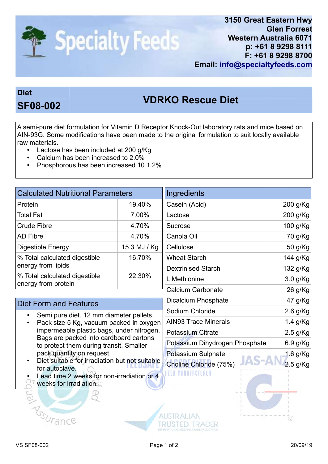

## Diet

## VDRKO Rescue Diet SF08-002

A semi-pure diet formulation for Vitamin D Receptor Knock-Out laboratory rats and mice based on AIN-93G. Some modifications have been made to the original formulation to suit locally available raw materials.

- Lactose has been included at 200 g/Kg
- Calcium has been increased to 2.0%
- Phosphorous has been increased 10 1.2%

| <b>Calculated Nutritional Parameters</b>                                                                                                                                                                                                                                                                              |              | Ingredients                    |            |
|-----------------------------------------------------------------------------------------------------------------------------------------------------------------------------------------------------------------------------------------------------------------------------------------------------------------------|--------------|--------------------------------|------------|
| Protein                                                                                                                                                                                                                                                                                                               | 19.40%       | Casein (Acid)                  | 200 g/Kg   |
| <b>Total Fat</b>                                                                                                                                                                                                                                                                                                      | 7.00%        | Lactose                        | 200 g/Kg   |
| <b>Crude Fibre</b>                                                                                                                                                                                                                                                                                                    | 4.70%        | <b>Sucrose</b>                 | 100 g/Kg   |
| <b>AD Fibre</b>                                                                                                                                                                                                                                                                                                       | 4.70%        | Canola Oil                     | 70 g/Kg    |
| Digestible Energy                                                                                                                                                                                                                                                                                                     | 15.3 MJ / Kg | Cellulose                      | 50 g/Kg    |
| % Total calculated digestible<br>energy from lipids                                                                                                                                                                                                                                                                   | 16.70%       | <b>Wheat Starch</b>            | 144 g/Kg   |
|                                                                                                                                                                                                                                                                                                                       |              | <b>Dextrinised Starch</b>      | 132 g/Kg   |
| % Total calculated digestible<br>energy from protein                                                                                                                                                                                                                                                                  | 22.30%       | L Methionine                   | 3.0 g/Kg   |
|                                                                                                                                                                                                                                                                                                                       |              | <b>Calcium Carbonate</b>       | 26 g/Kg    |
| <b>Diet Form and Features</b>                                                                                                                                                                                                                                                                                         |              | <b>Dicalcium Phosphate</b>     | 47 g/Kg    |
| Semi pure diet. 12 mm diameter pellets.<br>Pack size 5 Kg, vacuum packed in oxygen<br>impermeable plastic bags, under nitrogen.<br>Bags are packed into cardboard cartons<br>to protect them during transit. Smaller<br>pack quantity on request.<br>Diet suitable for irradiation but not suitable<br>for autoclave. |              | Sodium Chloride                | $2.6$ g/Kg |
|                                                                                                                                                                                                                                                                                                                       |              | <b>AIN93 Trace Minerals</b>    | 1.4 g/Kg   |
|                                                                                                                                                                                                                                                                                                                       |              | <b>Potassium Citrate</b>       | $2.5$ g/Kg |
|                                                                                                                                                                                                                                                                                                                       |              | Potassium Dihydrogen Phosphate | 6.9 g/Kg   |
|                                                                                                                                                                                                                                                                                                                       |              | Potassium Sulphate             | 1.6 g/Kg   |
|                                                                                                                                                                                                                                                                                                                       |              | Choline Chloride (75%)         | $2.5$ g/Kg |
| Lead time 2 weeks for non-irradiation or 4<br>weeks for irradiation.<br><b>This Mran</b>                                                                                                                                                                                                                              |              |                                |            |